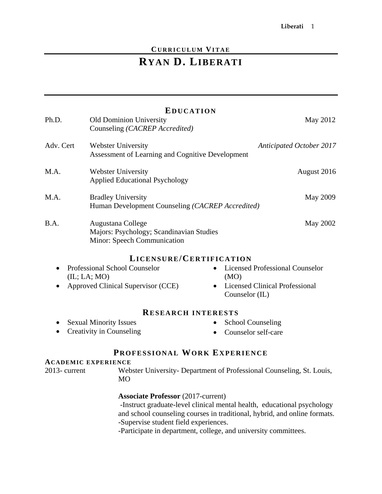## **CURRICULUM VITAE**

# **RYAN D. LIBERATI**

| Ph.D.                                                                                                                      | <b>EDUCATION</b><br><b>Old Dominion University</b><br>Counseling (CACREP Accredited)         | May 2012                                                                                                        |
|----------------------------------------------------------------------------------------------------------------------------|----------------------------------------------------------------------------------------------|-----------------------------------------------------------------------------------------------------------------|
| Adv. Cert                                                                                                                  | <b>Webster University</b><br>Assessment of Learning and Cognitive Development                | <b>Anticipated October 2017</b>                                                                                 |
| M.A.                                                                                                                       | <b>Webster University</b><br><b>Applied Educational Psychology</b>                           | August 2016                                                                                                     |
| M.A.                                                                                                                       | <b>Bradley University</b><br>Human Development Counseling (CACREP Accredited)                | <b>May 2009</b>                                                                                                 |
| B.A.                                                                                                                       | Augustana College<br>Majors: Psychology; Scandinavian Studies<br>Minor: Speech Communication | May 2002                                                                                                        |
|                                                                                                                            |                                                                                              |                                                                                                                 |
| LICENSURE/CERTIFICATION<br>Professional School Counselor<br><b>Licensed Professional Counselor</b><br>(IL; LA; MO)<br>(MO) |                                                                                              |                                                                                                                 |
|                                                                                                                            | Approved Clinical Supervisor (CCE)                                                           | • Licensed Clinical Professional<br>Counselor (IL)                                                              |
|                                                                                                                            | <b>RESEARCH INTERESTS</b>                                                                    |                                                                                                                 |
|                                                                                                                            | <b>Sexual Minority Issues</b>                                                                | <b>School Counseling</b>                                                                                        |
|                                                                                                                            | Creativity in Counseling                                                                     | Counselor self-care                                                                                             |
|                                                                                                                            | PROFESSIONAL WORK EXPERIENCE                                                                 |                                                                                                                 |
| 2013-current                                                                                                               | <b>ACADEMIC EXPERIENCE</b><br><b>MO</b>                                                      | Webster University- Department of Professional Counseling, St. Louis,                                           |
|                                                                                                                            | <b>Associate Professor</b> (2017-current)                                                    | The concept of the contracted of the best of the concept the contracted of the concept of the contracted of the |

 -Instruct graduate-level clinical mental health, educational psychology and school counseling courses in traditional, hybrid, and online formats. -Supervise student field experiences.

-Participate in department, college, and university committees.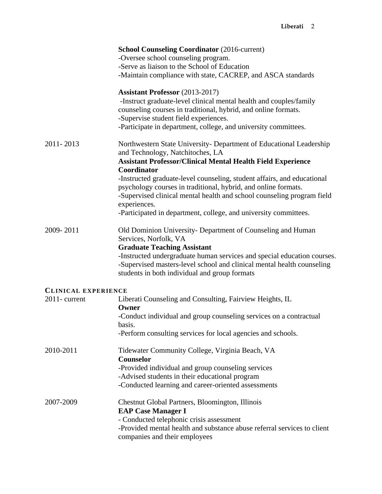|                            | <b>School Counseling Coordinator (2016-current)</b>                     |
|----------------------------|-------------------------------------------------------------------------|
|                            | -Oversee school counseling program.                                     |
|                            | -Serve as liaison to the School of Education                            |
|                            | -Maintain compliance with state, CACREP, and ASCA standards             |
|                            | <b>Assistant Professor</b> (2013-2017)                                  |
|                            | -Instruct graduate-level clinical mental health and couples/family      |
|                            | counseling courses in traditional, hybrid, and online formats.          |
|                            | -Supervise student field experiences.                                   |
|                            | -Participate in department, college, and university committees.         |
| 2011-2013                  | Northwestern State University- Department of Educational Leadership     |
|                            | and Technology, Natchitoches, LA                                        |
|                            | <b>Assistant Professor/Clinical Mental Health Field Experience</b>      |
|                            | Coordinator                                                             |
|                            | -Instructed graduate-level counseling, student affairs, and educational |
|                            | psychology courses in traditional, hybrid, and online formats.          |
|                            | -Supervised clinical mental health and school counseling program field  |
|                            | experiences.                                                            |
|                            | -Participated in department, college, and university committees.        |
| 2009-2011                  | Old Dominion University- Department of Counseling and Human             |
|                            | Services, Norfolk, VA                                                   |
|                            | <b>Graduate Teaching Assistant</b>                                      |
|                            | -Instructed undergraduate human services and special education courses. |
|                            | -Supervised masters-level school and clinical mental health counseling  |
|                            | students in both individual and group formats                           |
| <b>CLINICAL EXPERIENCE</b> |                                                                         |
| $2011$ - current           | Liberati Counseling and Consulting, Fairview Heights, IL<br>Owner       |
|                            | -Conduct individual and group counseling services on a contractual      |
|                            | basis.                                                                  |
|                            | -Perform consulting services for local agencies and schools.            |
| 2010-2011                  | Tidewater Community College, Virginia Beach, VA                         |
|                            | Counselor                                                               |
|                            | -Provided individual and group counseling services                      |
|                            | -Advised students in their educational program                          |
|                            | -Conducted learning and career-oriented assessments                     |
| 2007-2009                  | Chestnut Global Partners, Bloomington, Illinois                         |
|                            | <b>EAP Case Manager I</b>                                               |
|                            | - Conducted telephonic crisis assessment                                |
|                            | -Provided mental health and substance abuse referral services to client |
|                            | companies and their employees                                           |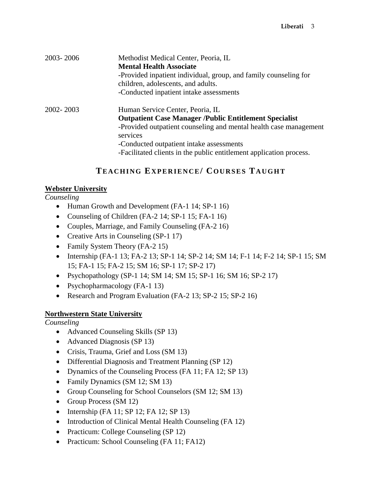| 2003-2006 | Methodist Medical Center, Peoria, IL<br><b>Mental Health Associate</b><br>-Provided inpatient individual, group, and family counseling for<br>children, adolescents, and adults.<br>-Conducted inpatient intake assessments                                                                           |
|-----------|-------------------------------------------------------------------------------------------------------------------------------------------------------------------------------------------------------------------------------------------------------------------------------------------------------|
| 2002-2003 | Human Service Center, Peoria, IL<br><b>Outpatient Case Manager /Public Entitlement Specialist</b><br>-Provided outpatient counseling and mental health case management<br>services<br>-Conducted outpatient intake assessments<br>-Facilitated clients in the public entitlement application process. |

# **TEACHING EXPERIENCE/ COURSES TAUGHT**

## **Webster University**

## *Counseling*

- Human Growth and Development (FA-1 14; SP-1 16)
- Counseling of Children (FA-2 14; SP-1 15; FA-1 16)
- Couples, Marriage, and Family Counseling (FA-2 16)
- Creative Arts in Counseling (SP-1 17)
- Family System Theory (FA-2 15)
- Internship (FA-1 13; FA-2 13; SP-1 14; SP-2 14; SM 14; F-1 14; F-2 14; SP-1 15; SM 15; FA-1 15; FA-2 15; SM 16; SP-1 17; SP-2 17)
- Psychopathology (SP-1 14; SM 14; SM 15; SP-1 16; SM 16; SP-2 17)
- Psychopharmacology (FA-1 13)
- Research and Program Evaluation (FA-2 13; SP-2 15; SP-2 16)

## **Northwestern State University**

*Counseling* 

- Advanced Counseling Skills (SP 13)
- Advanced Diagnosis (SP 13)
- Crisis, Trauma, Grief and Loss (SM 13)
- Differential Diagnosis and Treatment Planning (SP 12)
- Dynamics of the Counseling Process (FA 11; FA 12; SP 13)
- Family Dynamics (SM 12; SM 13)
- Group Counseling for School Counselors (SM 12; SM 13)
- Group Process (SM 12)
- $\bullet$  Internship (FA 11; SP 12; FA 12; SP 13)
- Introduction of Clinical Mental Health Counseling (FA 12)
- Practicum: College Counseling (SP 12)
- Practicum: School Counseling (FA 11; FA12)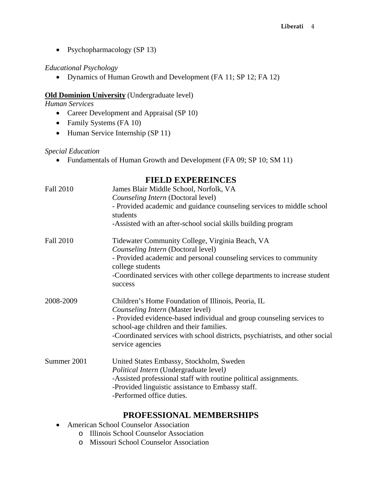• Psychopharmacology (SP 13)

#### *Educational Psychology*

• Dynamics of Human Growth and Development (FA 11; SP 12; FA 12)

#### **Old Dominion University** (Undergraduate level)

*Human Services* 

- Career Development and Appraisal (SP 10)
- Family Systems (FA 10)
- Human Service Internship (SP 11)

#### *Special Education*

• Fundamentals of Human Growth and Development (FA 09; SP 10; SM 11)

## **FIELD EXPEREINCES**

| <b>Fall 2010</b> | James Blair Middle School, Norfolk, VA<br>Counseling Intern (Doctoral level)<br>- Provided academic and guidance counseling services to middle school<br>students<br>-Assisted with an after-school social skills building program                                                                             |
|------------------|----------------------------------------------------------------------------------------------------------------------------------------------------------------------------------------------------------------------------------------------------------------------------------------------------------------|
| <b>Fall 2010</b> | Tidewater Community College, Virginia Beach, VA<br>Counseling Intern (Doctoral level)<br>- Provided academic and personal counseling services to community<br>college students<br>-Coordinated services with other college departments to increase student<br>success                                          |
| 2008-2009        | Children's Home Foundation of Illinois, Peoria, IL<br>Counseling Intern (Master level)<br>- Provided evidence-based individual and group counseling services to<br>school-age children and their families.<br>-Coordinated services with school districts, psychiatrists, and other social<br>service agencies |
| Summer 2001      | United States Embassy, Stockholm, Sweden<br>Political Intern (Undergraduate level)<br>-Assisted professional staff with routine political assignments.<br>-Provided linguistic assistance to Embassy staff.<br>-Performed office duties.                                                                       |

## **PROFESSIONAL MEMBERSHIPS**

- American School Counselor Association
	- o Illinois School Counselor Association
	- o Missouri School Counselor Association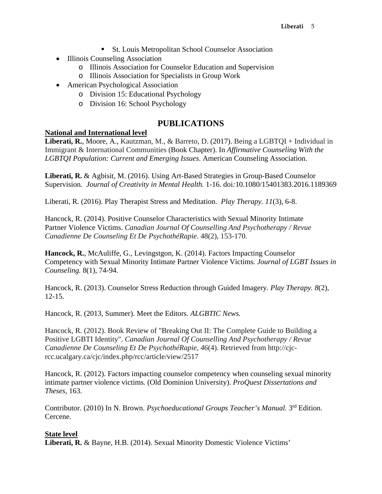- St. Louis Metropolitan School Counselor Association
- Illinois Counseling Association
	- o Illinois Association for Counselor Education and Supervision
	- o Illinois Association for Specialists in Group Work
- American Psychological Association
	- o Division 15: Educational Psychology
	- o Division 16: School Psychology

## **PUBLICATIONS**

#### **National and International level**

**Liberati, R.**, Moore, A., Kautzman, M., & Barreto, D. (2017). Being a LGBTQI + Individual in Immigrant & International Communities (Book Chapter). In *Affirmative Counseling With the LGBTQI Population: Current and Emerging Issues*. American Counseling Association.

**Liberati, R.** & Agbisit, M. (2016). Using Art-Based Strategies in Group-Based Counselor Supervision. *Journal of Creativity in Mental Health.* 1-16*.* doi*:*10.1080/15401383.2016.1189369

Liberati, R. (2016). Play Therapist Stress and Meditation. *Play Therapy. 11*(3), 6-8.

Hancock, R. (2014). Positive Counselor Characteristics with Sexual Minority Intimate Partner Violence Victims. *Canadian Journal Of Counselling And Psychotherapy / Revue Canadienne De Counseling Et De PsychothéRapie.* 48(2), 153-170.

**Hancock, R.**, McAuliffe, G., Levingstgon, K. (2014). Factors Impacting Counselor Competency with Sexual Minority Intimate Partner Violence Victims*. Journal of LGBT Issues in Counseling.* 8(1), 74-94.

Hancock, R. (2013). Counselor Stress Reduction through Guided Imagery*. Play Therapy. 8*(2), 12-15.

Hancock, R. (2013, Summer). Meet the Editors. *ALGBTIC News.*

Hancock, R. (2012). Book Review of "Breaking Out II: The Complete Guide to Building a Positive LGBTI Identity". *Canadian Journal Of Counselling And Psychotherapy / Revue Canadienne De Counseling Et De PsychothéRapie, 46*(4). Retrieved from http://cjcrcc.ucalgary.ca/cjc/index.php/rcc/article/view/2517

Hancock, R. (2012). Factors impacting counselor competency when counseling sexual minority intimate partner violence victims*.* (Old Dominion University). *ProQuest Dissertations and Theses,* 163.

Contributor. (2010) In N. Brown. *Psychoeducational Groups Teacher's Manual*. 3<sup>rd</sup> Edition. Cercene.

## **State level**

**Liberati, R.** & Bayne, H.B. (2014). Sexual Minority Domestic Violence Victims'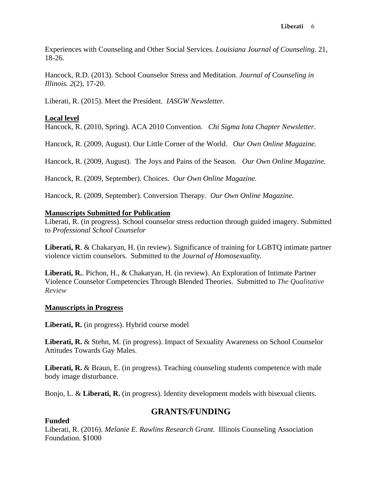Experiences with Counseling and Other Social Services. *Louisiana Journal of Counseling.* 21, 18-26.

Hancock, R.D. (2013). School Counselor Stress and Meditation. *Journal of Counseling in Illinois. 2*(2), 17-20.

Liberati, R. (2015). Meet the President. *IASGW Newsletter.*

## **Local level**

Hancock, R. (2010, Spring). ACA 2010 Convention. *Chi Sigma Iota Chapter Newsletter*.

Hancock, R. (2009, August). Our Little Corner of the World. *Our Own Online Magazine.* 

Hancock, R. (2009, August). The Joys and Pains of the Season. *Our Own Online Magazine.* 

Hancock, R. (2009, September). Choices. *Our Own Online Magazine.* 

Hancock, R. (2009, September). Conversion Therapy. *Our Own Online Magazine.* 

## **Manuscripts Submitted for Publication**

Liberati, R. (in progress). School counselor stress reduction through guided imagery. Submitted to *Professional School Counselor*

**Liberati, R**. & Chakaryan, H. (in review). Significance of training for LGBTQ intimate partner violence victim counselors. Submitted to the *Journal of Homosexuality.*

**Liberati, R.**. Pichon, H., & Chakaryan, H. (in review). An Exploration of Intimate Partner Violence Counselor Competencies Through Blended Theories. Submitted to *The Qualitative Review*

## **Manuscripts in Progress**

**Liberati, R.** (in progress). Hybrid course model

**Liberati, R.** & Stehn, M. (in progress). Impact of Sexuality Awareness on School Counselor Attitudes Towards Gay Males.

**Liberati, R.** & Braun, E. (in progress). Teaching counseling students competence with male body image disturbance.

Bonjo, L. & **Liberati, R.** (in progress). Identity development models with bisexual clients.

# **GRANTS/FUNDING**

## **Funded**

Liberati, R. (2016). *Melanie E. Rawlins Research Grant*. Illinois Counseling Association Foundation. \$1000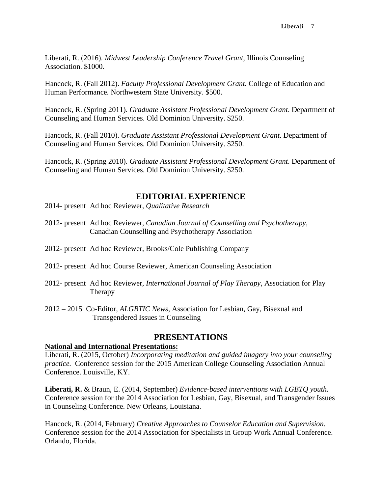Liberati, R. (2016). *Midwest Leadership Conference Travel Grant*, Illinois Counseling Association. \$1000.

Hancock, R. (Fall 2012). *Faculty Professional Development Grant.* College of Education and Human Performance*.* Northwestern State University. \$500.

Hancock, R. (Spring 2011). *Graduate Assistant Professional Development Grant*. Department of Counseling and Human Services. Old Dominion University. \$250.

Hancock, R. (Fall 2010). *Graduate Assistant Professional Development Grant*. Department of Counseling and Human Services. Old Dominion University. \$250.

Hancock, R. (Spring 2010). *Graduate Assistant Professional Development Grant*. Department of Counseling and Human Services. Old Dominion University. \$250.

## **EDITORIAL EXPERIENCE**

- 2014- present Ad hoc Reviewer, *Qualitative Research*
- 2012- present Ad hoc Reviewer, *Canadian Journal of Counselling and Psychotherapy*, Canadian Counselling and Psychotherapy Association
- 2012- present Ad hoc Reviewer, Brooks/Cole Publishing Company
- 2012- present Ad hoc Course Reviewer, American Counseling Association
- 2012- present Ad hoc Reviewer, *International Journal of Play Therapy*, Association for Play Therapy
- 2012 2015 Co-Editor*, ALGBTIC News,* Association for Lesbian, Gay, Bisexual and Transgendered Issues in Counseling

## **PRESENTATIONS**

#### **National and International Presentations:**

Liberati, R. (2015, October) *Incorporating meditation and guided imagery into your counseling practice.* Conference session for the 2015 American College Counseling Association Annual Conference. Louisville, KY.

**Liberati, R.** & Braun, E. (2014, September) *Evidence-based interventions with LGBTQ youth.* Conference session for the 2014 Association for Lesbian, Gay, Bisexual, and Transgender Issues in Counseling Conference. New Orleans, Louisiana.

Hancock, R. (2014, February) *Creative Approaches to Counselor Education and Supervision.* Conference session for the 2014 Association for Specialists in Group Work Annual Conference. Orlando, Florida.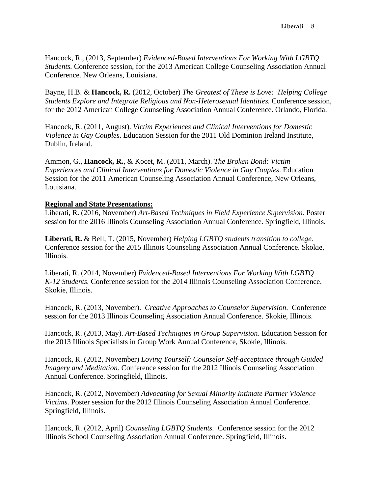Hancock, R., (2013, September) *Evidenced-Based Interventions For Working With LGBTQ Students.* Conference session, for the 2013 American College Counseling Association Annual Conference. New Orleans, Louisiana.

Bayne, H.B. & **Hancock, R.** (2012, October) *The Greatest of These is Love: Helping College Students Explore and Integrate Religious and Non-Heterosexual Identities.* Conference session, for the 2012 American College Counseling Association Annual Conference. Orlando, Florida.

Hancock, R. (2011, August). *Victim Experiences and Clinical Interventions for Domestic Violence in Gay Couples*. Education Session for the 2011 Old Dominion Ireland Institute, Dublin, Ireland.

Ammon, G., **Hancock, R.**, & Kocet, M. (2011, March). *The Broken Bond: Victim Experiences and Clinical Interventions for Domestic Violence in Gay Couples*. Education Session for the 2011 American Counseling Association Annual Conference, New Orleans, Louisiana.

## **Regional and State Presentations:**

Liberati, R**.** (2016, November) *Art-Based Techniques in Field Experience Supervision.* Poster session for the 2016 Illinois Counseling Association Annual Conference. Springfield, Illinois.

**Liberati, R.** & Bell, T. (2015, November) *Helping LGBTQ students transition to college.* Conference session for the 2015 Illinois Counseling Association Annual Conference. Skokie, Illinois.

Liberati, R. (2014, November) *Evidenced-Based Interventions For Working With LGBTQ K-12 Students.* Conference session for the 2014 Illinois Counseling Association Conference. Skokie, Illinois.

Hancock, R. (2013, November). *Creative Approaches to Counselor Supervision*. Conference session for the 2013 Illinois Counseling Association Annual Conference. Skokie, Illinois.

Hancock, R. (2013, May). *Art-Based Techniques in Group Supervision*. Education Session for the 2013 Illinois Specialists in Group Work Annual Conference, Skokie, Illinois.

Hancock, R. (2012, November) *Loving Yourself: Counselor Self-acceptance through Guided Imagery and Meditation.* Conference session for the 2012 Illinois Counseling Association Annual Conference. Springfield, Illinois.

Hancock, R. (2012, November) *Advocating for Sexual Minority Intimate Partner Violence Victims*. Poster session for the 2012 Illinois Counseling Association Annual Conference. Springfield, Illinois.

Hancock, R. (2012, April) *Counseling LGBTQ Students.* Conference session for the 2012 Illinois School Counseling Association Annual Conference. Springfield, Illinois.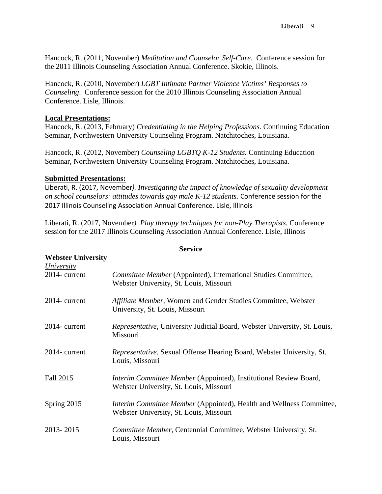Hancock, R. (2011, November) *Meditation and Counselor Self-Care*. Conference session for the 2011 Illinois Counseling Association Annual Conference. Skokie, Illinois.

Hancock, R. (2010, November) *LGBT Intimate Partner Violence Victims' Responses to Counseling*. Conference session for the 2010 Illinois Counseling Association Annual Conference. Lisle, Illinois.

#### **Local Presentations:**

Hancock, R. (2013, February) *Credentialing in the Helping Professions.* Continuing Education Seminar, Northwestern University Counseling Program. Natchitoches, Louisiana.

Hancock, R. (2012, November) *Counseling LGBTQ K-12 Students.* Continuing Education Seminar, Northwestern University Counseling Program. Natchitoches, Louisiana.

#### **Submitted Presentations:**

Liberati, R. (2017, November*). Investigating the impact of knowledge of sexuality development on school counselors' attitudes towards gay male K-12 students.* Conference session for the 2017 Illinois Counseling Association Annual Conference. Lisle, Illinois

Liberati, R. (2017, November*). Play therapy techniques for non-Play Therapists.* Conference session for the 2017 Illinois Counseling Association Annual Conference. Lisle, Illinois

**Service** 

# **Webster University**  *University*  2014- current *Committee Member* (Appointed), International Studies Committee, Webster University, St. Louis, Missouri 2014- current *Affiliate Member*, Women and Gender Studies Committee, Webster University, St. Louis, Missouri 2014- current *Representative,* University Judicial Board, Webster University, St. Louis, Missouri 2014- current *Representative,* Sexual Offense Hearing Board, Webster University, St. Louis, Missouri Fall 2015 *Interim Committee Member* (Appointed)*,* Institutional Review Board, Webster University, St. Louis, Missouri Spring 2015 *Interim Committee Member* (Appointed)*,* Health and Wellness Committee, Webster University, St. Louis, Missouri 2013- 2015 *Committee Member*, Centennial Committee, Webster University, St. Louis, Missouri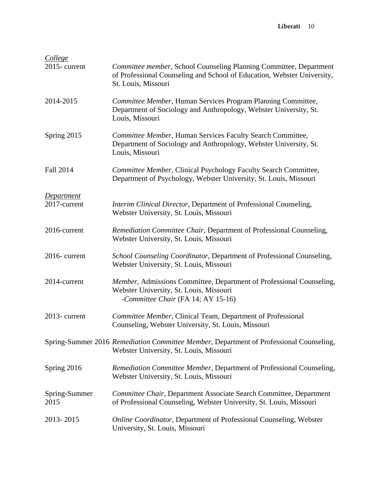| College<br>2015-current           | Committee member, School Counseling Planning Committee, Department<br>of Professional Counseling and School of Education, Webster University,<br>St. Louis, Missouri |
|-----------------------------------|----------------------------------------------------------------------------------------------------------------------------------------------------------------------|
| 2014-2015                         | Committee Member, Human Services Program Planning Committee,<br>Department of Sociology and Anthropology, Webster University, St.<br>Louis, Missouri                 |
| Spring 2015                       | Committee Member, Human Services Faculty Search Committee,<br>Department of Sociology and Anthropology, Webster University, St.<br>Louis, Missouri                   |
| <b>Fall 2014</b>                  | Committee Member, Clinical Psychology Faculty Search Committee,<br>Department of Psychology, Webster University, St. Louis, Missouri                                 |
| <b>Department</b><br>2017-current | Interim Clinical Director, Department of Professional Counseling,<br>Webster University, St. Louis, Missouri                                                         |
| 2016-current                      | Remediation Committee Chair, Department of Professional Counseling,<br>Webster University, St. Louis, Missouri                                                       |
| 2016-current                      | School Counseling Coordinator, Department of Professional Counseling,<br>Webster University, St. Louis, Missouri                                                     |
| 2014-current                      | Member, Admissions Committee, Department of Professional Counseling,<br>Webster University, St. Louis, Missouri<br>-Committee Chair (FA 14; AY 15-16)                |
| 2013-current                      | Committee Member, Clinical Team, Department of Professional<br>Counseling, Webster University, St. Louis, Missouri                                                   |
|                                   | Spring-Summer 2016 Remediation Committee Member, Department of Professional Counseling,<br>Webster University, St. Louis, Missouri                                   |
| Spring 2016                       | Remediation Committee Member, Department of Professional Counseling,<br>Webster University, St. Louis, Missouri                                                      |
| Spring-Summer<br>2015             | Committee Chair, Department Associate Search Committee, Department<br>of Professional Counseling, Webster University, St. Louis, Missouri                            |
| 2013-2015                         | <b>Online Coordinator, Department of Professional Counseling, Webster</b><br>University, St. Louis, Missouri                                                         |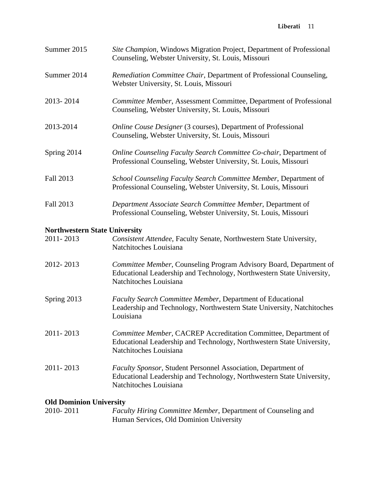#### **Liberati** 11

| Summer 2015                          | Site Champion, Windows Migration Project, Department of Professional<br>Counseling, Webster University, St. Louis, Missouri                                             |
|--------------------------------------|-------------------------------------------------------------------------------------------------------------------------------------------------------------------------|
| Summer 2014                          | Remediation Committee Chair, Department of Professional Counseling,<br>Webster University, St. Louis, Missouri                                                          |
| 2013-2014                            | Committee Member, Assessment Committee, Department of Professional<br>Counseling, Webster University, St. Louis, Missouri                                               |
| 2013-2014                            | <b>Online Couse Designer (3 courses), Department of Professional</b><br>Counseling, Webster University, St. Louis, Missouri                                             |
| Spring 2014                          | Online Counseling Faculty Search Committee Co-chair, Department of<br>Professional Counseling, Webster University, St. Louis, Missouri                                  |
| Fall 2013                            | School Counseling Faculty Search Committee Member, Department of<br>Professional Counseling, Webster University, St. Louis, Missouri                                    |
| Fall 2013                            | Department Associate Search Committee Member, Department of<br>Professional Counseling, Webster University, St. Louis, Missouri                                         |
| <b>Northwestern State University</b> |                                                                                                                                                                         |
| 2011-2013                            | Consistent Attendee, Faculty Senate, Northwestern State University,<br>Natchitoches Louisiana                                                                           |
| 2012-2013                            | Committee Member, Counseling Program Advisory Board, Department of<br>Educational Leadership and Technology, Northwestern State University,<br>Natchitoches Louisiana   |
| Spring 2013                          | Faculty Search Committee Member, Department of Educational<br>Leadership and Technology, Northwestern State University, Natchitoches<br>Louisiana                       |
| 2011-2013                            | Committee Member, CACREP Accreditation Committee, Department of<br>Educational Leadership and Technology, Northwestern State University,<br>Natchitoches Louisiana      |
| 2011-2013                            | <b>Faculty Sponsor, Student Personnel Association, Department of</b><br>Educational Leadership and Technology, Northwestern State University,<br>Natchitoches Louisiana |
| <b>Old Dominion University</b>       |                                                                                                                                                                         |

# 2010- 2011 *Faculty Hiring Committee Member*, Department of Counseling and Human Services, Old Dominion University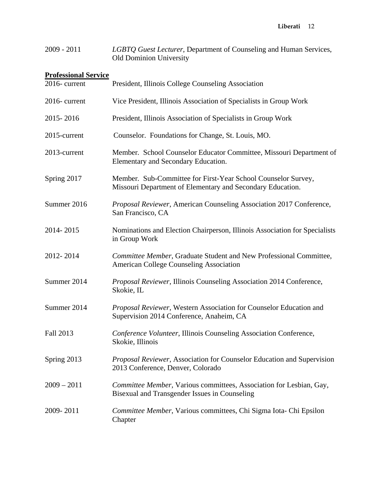| $2009 - 2011$ | LGBTQ Guest Lecturer, Department of Counseling and Human Services, |
|---------------|--------------------------------------------------------------------|
|               | <b>Old Dominion University</b>                                     |

## **Professional Service**

| 2016-current  | President, Illinois College Counseling Association                                                                          |
|---------------|-----------------------------------------------------------------------------------------------------------------------------|
| 2016-current  | Vice President, Illinois Association of Specialists in Group Work                                                           |
| 2015-2016     | President, Illinois Association of Specialists in Group Work                                                                |
| 2015-current  | Counselor. Foundations for Change, St. Louis, MO.                                                                           |
| 2013-current  | Member. School Counselor Educator Committee, Missouri Department of<br>Elementary and Secondary Education.                  |
| Spring 2017   | Member. Sub-Committee for First-Year School Counselor Survey,<br>Missouri Department of Elementary and Secondary Education. |
| Summer 2016   | Proposal Reviewer, American Counseling Association 2017 Conference,<br>San Francisco, CA                                    |
| 2014-2015     | Nominations and Election Chairperson, Illinois Association for Specialists<br>in Group Work                                 |
| 2012-2014     | Committee Member, Graduate Student and New Professional Committee,<br><b>American College Counseling Association</b>        |
| Summer 2014   | Proposal Reviewer, Illinois Counseling Association 2014 Conference,<br>Skokie, IL                                           |
| Summer 2014   | Proposal Reviewer, Western Association for Counselor Education and<br>Supervision 2014 Conference, Anaheim, CA              |
| Fall 2013     | Conference Volunteer, Illinois Counseling Association Conference,<br>Skokie, Illinois                                       |
| Spring 2013   | Proposal Reviewer, Association for Counselor Education and Supervision<br>2013 Conference, Denver, Colorado                 |
| $2009 - 2011$ | Committee Member, Various committees, Association for Lesbian, Gay,<br>Bisexual and Transgender Issues in Counseling        |
| 2009-2011     | Committee Member, Various committees, Chi Sigma Iota- Chi Epsilon<br>Chapter                                                |